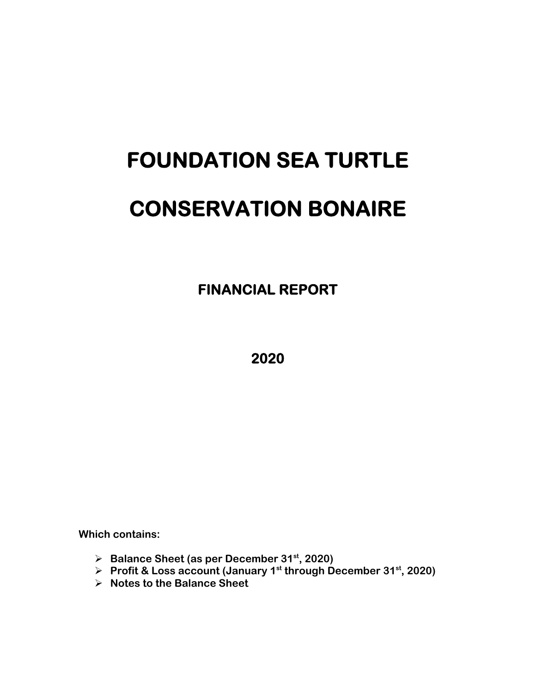# **FOUNDATION SEA TURTLE CONSERVATION BONAIRE**

 **FINANCIAL REPORT** 

**2020** 

**Which contains:** 

- **Balance Sheet (as per December 31st, 2020)**
- **▶ Profit & Loss account (January 1st through December 31st, 2020)**
- **Notes to the Balance Sheet**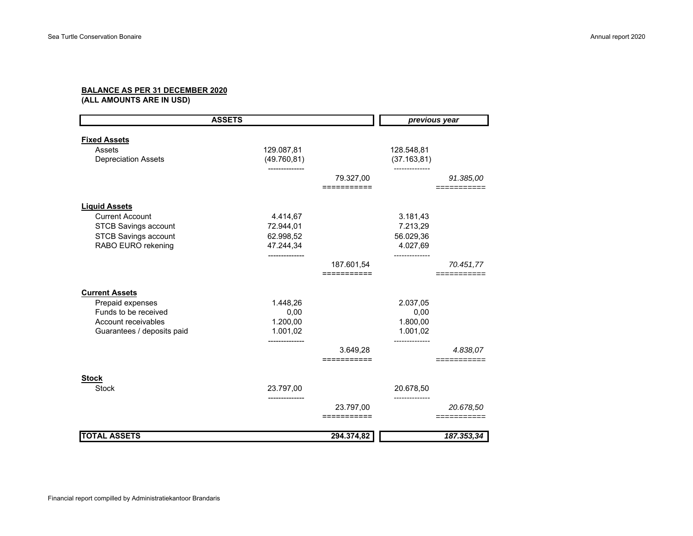## **BALANCE AS PER 31 DECEMBER 2020**

**(ALL AMOUNTS ARE IN USD)**

|                               | <b>ASSETS</b> |             | previous year |            |
|-------------------------------|---------------|-------------|---------------|------------|
|                               |               |             |               |            |
| <b>Fixed Assets</b><br>Assets | 129.087,81    |             | 128.548,81    |            |
| <b>Depreciation Assets</b>    | (49.760, 81)  |             | (37.163, 81)  |            |
|                               |               |             |               |            |
|                               |               | 79.327,00   |               | 91.385,00  |
|                               |               | =========== |               |            |
| <b>Liquid Assets</b>          |               |             |               |            |
| <b>Current Account</b>        | 4.414,67      |             | 3.181,43      |            |
| <b>STCB Savings account</b>   | 72.944,01     |             | 7.213,29      |            |
| <b>STCB Savings account</b>   | 62.998,52     |             | 56.029,36     |            |
| RABO EURO rekening            | 47.244,34     |             | 4.027,69      |            |
|                               |               |             |               |            |
|                               |               | 187.601,54  |               | 70.451,77  |
|                               |               | =========== |               |            |
| <b>Current Assets</b>         |               |             |               |            |
| Prepaid expenses              | 1.448,26      |             | 2.037,05      |            |
| Funds to be received          | 0,00          |             | 0,00          |            |
| Account receivables           | 1.200,00      |             | 1.800,00      |            |
| Guarantees / deposits paid    | 1.001,02      |             | 1.001,02      |            |
|                               |               |             | -----------   |            |
|                               |               | 3.649,28    |               | 4.838,07   |
|                               |               | ==========  |               |            |
| <b>Stock</b>                  |               |             |               |            |
| <b>Stock</b>                  | 23.797,00     |             | 20.678,50     |            |
|                               |               |             |               |            |
|                               |               | 23.797,00   |               | 20.678,50  |
|                               |               | =========== |               |            |
| <b>TOTAL ASSETS</b>           |               | 294.374,82  |               | 187.353,34 |
|                               |               |             |               |            |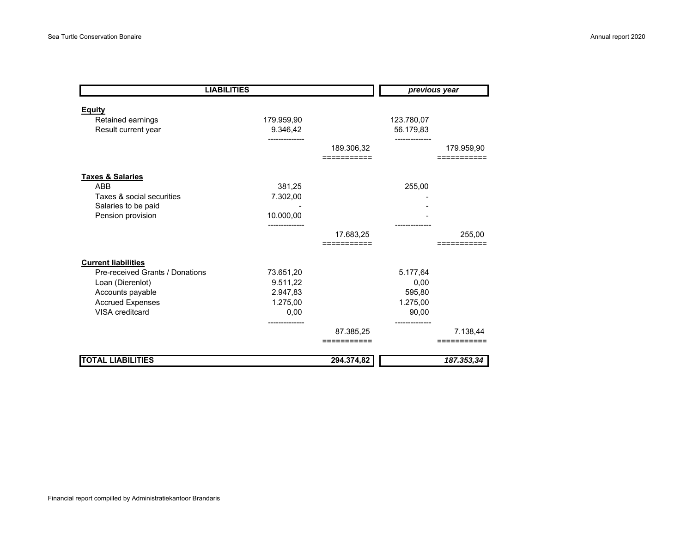| <b>LIABILITIES</b>                                        |                        |                          | previous year           |                         |
|-----------------------------------------------------------|------------------------|--------------------------|-------------------------|-------------------------|
| <b>Equity</b><br>Retained earnings<br>Result current year | 179.959,90<br>9.346,42 |                          | 123.780,07<br>56.179,83 |                         |
|                                                           |                        | 189.306,32<br>:========= |                         | 179.959,90              |
| <b>Taxes &amp; Salaries</b>                               |                        |                          |                         |                         |
| <b>ABB</b>                                                | 381,25                 |                          | 255,00                  |                         |
| Taxes & social securities                                 | 7.302,00               |                          |                         |                         |
| Salaries to be paid                                       |                        |                          |                         |                         |
| Pension provision                                         | 10.000,00              |                          |                         |                         |
|                                                           |                        | 17.683,25                |                         | 255,00                  |
|                                                           |                        | =========                |                         |                         |
| <b>Current liabilities</b>                                |                        |                          |                         |                         |
| Pre-received Grants / Donations                           | 73.651,20              |                          | 5.177,64                |                         |
| Loan (Dierenlot)                                          | 9.511,22               |                          | 0,00                    |                         |
| Accounts payable                                          | 2.947,83               |                          | 595,80                  |                         |
| <b>Accrued Expenses</b>                                   | 1.275,00               |                          | 1.275,00                |                         |
| VISA creditcard                                           | 0,00                   |                          | 90,00                   |                         |
|                                                           |                        | 87.385,25<br>==========  |                         | 7.138,44<br>=========== |
| <b>TOTAL LIABILITIES</b>                                  |                        | 294.374,82               |                         | 187.353,34              |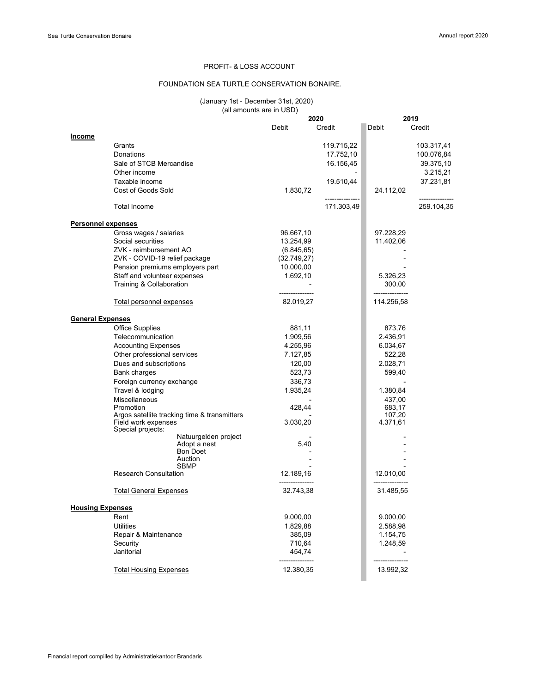### PROFIT- & LOSS ACCOUNT

## FOUNDATION SEA TURTLE CONSERVATION BONAIRE.

## (January 1st - December 31st, 2020) ary is decomposition.<br>(all amounts are in USD)

|                           |                                              |                              | 2020        |                  | 2019           |
|---------------------------|----------------------------------------------|------------------------------|-------------|------------------|----------------|
|                           |                                              | Debit                        | Credit      | Debit            | Credit         |
| Income                    |                                              |                              |             |                  |                |
|                           | Grants                                       |                              | 119.715,22  |                  | 103.317,41     |
|                           | Donations                                    |                              | 17.752,10   |                  | 100.076,84     |
|                           | Sale of STCB Mercandise                      |                              | 16.156,45   |                  | 39.375,10      |
|                           | Other income                                 |                              |             |                  | 3.215,21       |
|                           | Taxable income                               |                              | 19.510,44   |                  | 37.231,81      |
|                           | Cost of Goods Sold                           | 1.830,72                     |             | 24.112,02        |                |
|                           |                                              |                              | ----------- |                  | -------------- |
|                           | <b>Total Income</b>                          |                              | 171.303,49  |                  | 259.104,35     |
| <b>Personnel expenses</b> |                                              |                              |             |                  |                |
|                           | Gross wages / salaries                       | 96.667,10                    |             | 97.228,29        |                |
|                           | Social securities                            | 13.254,99                    |             | 11.402,06        |                |
|                           | ZVK - reimbursement AO                       | (6.845, 65)                  |             |                  |                |
|                           | ZVK - COVID-19 relief package                | (32.749, 27)                 |             |                  |                |
|                           | Pension premiums employers part              | 10.000,00                    |             |                  |                |
|                           | Staff and volunteer expenses                 | 1.692,10                     |             | 5.326,23         |                |
|                           | Training & Collaboration                     |                              |             | 300,00           |                |
|                           |                                              | ---------------              |             | ---------------- |                |
|                           | Total personnel expenses                     | 82.019,27                    |             | 114.256,58       |                |
| <b>General Expenses</b>   |                                              |                              |             |                  |                |
|                           | <b>Office Supplies</b>                       | 881,11                       |             | 873,76           |                |
|                           | Telecommunication                            | 1.909,56                     |             | 2.436,91         |                |
|                           | <b>Accounting Expenses</b>                   | 4.255,96                     |             | 6.034,67         |                |
|                           |                                              |                              |             |                  |                |
|                           | Other professional services                  | 7.127,85                     |             | 522,28           |                |
|                           | Dues and subscriptions                       | 120,00                       |             | 2.028,71         |                |
|                           | Bank charges                                 | 523,73                       |             | 599,40           |                |
|                           | Foreign currency exchange                    | 336,73                       |             |                  |                |
|                           | Travel & lodging                             | 1.935,24                     |             | 1.380,84         |                |
|                           | <b>Miscellaneous</b>                         |                              |             | 437,00           |                |
|                           | Promotion                                    | 428,44                       |             | 683,17           |                |
|                           | Argos satellite tracking time & transmitters |                              |             | 107,20           |                |
|                           | Field work expenses<br>Special projects:     | 3.030,20                     |             | 4.371,61         |                |
|                           | Natuurgelden project                         |                              |             |                  |                |
|                           | Adopt a nest                                 | 5,40                         |             |                  |                |
|                           | <b>Bon Doet</b>                              |                              |             |                  |                |
|                           | Auction                                      |                              |             |                  |                |
|                           | <b>SBMP</b><br><b>Research Consultation</b>  | 12.189,16                    |             | 12.010,00        |                |
|                           | <b>Total General Expenses</b>                | _______________<br>32.743,38 |             | 31.485,55        |                |
|                           |                                              |                              |             |                  |                |
| <b>Housing Expenses</b>   |                                              |                              |             |                  |                |
|                           | Rent                                         | 9.000,00                     |             | 9.000,00         |                |
|                           | <b>Utilities</b>                             | 1.829,88                     |             | 2.588,98         |                |
|                           | Repair & Maintenance                         | 385,09                       |             | 1.154,75         |                |
|                           | Security                                     | 710,64                       |             | 1.248,59         |                |
|                           | Janitorial                                   | 454,74                       |             |                  |                |
|                           | <b>Total Housing Expenses</b>                | 12.380,35                    |             | 13.992,32        |                |
|                           |                                              |                              |             |                  |                |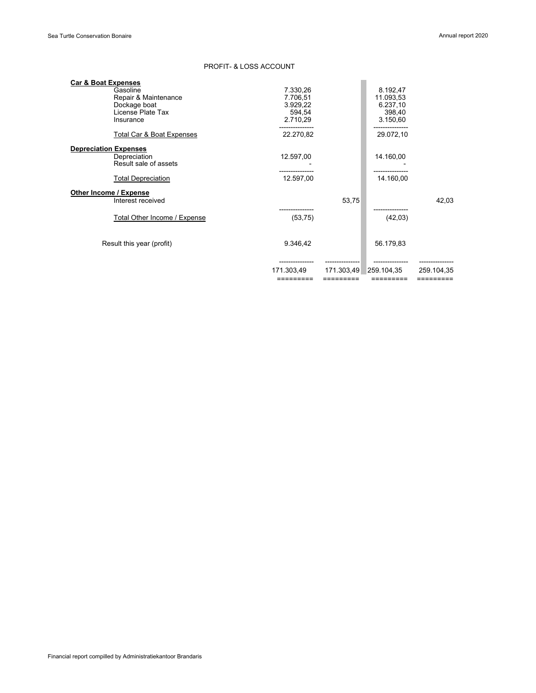## PROFIT- & LOSS ACCOUNT

| <b>Car &amp; Boat Expenses</b> |            |            |            |            |
|--------------------------------|------------|------------|------------|------------|
| Gasoline                       | 7.330,26   |            | 8.192,47   |            |
| Repair & Maintenance           | 7.706,51   |            | 11.093,53  |            |
| Dockage boat                   | 3.929,22   |            | 6.237,10   |            |
| License Plate Tax              | 594,54     |            | 398,40     |            |
| Insurance                      | 2.710,29   |            | 3.150,60   |            |
| Total Car & Boat Expenses      | 22.270,82  |            | 29.072,10  |            |
| <b>Depreciation Expenses</b>   |            |            |            |            |
| Depreciation                   | 12.597,00  |            | 14.160,00  |            |
| Result sale of assets          |            |            |            |            |
|                                |            |            |            |            |
| <b>Total Depreciation</b>      | 12.597,00  |            | 14.160,00  |            |
| Other Income / Expense         |            |            |            |            |
| Interest received              |            | 53,75      |            | 42,03      |
|                                |            |            |            |            |
| Total Other Income / Expense   | (53, 75)   |            | (42,03)    |            |
|                                |            |            |            |            |
| Result this year (profit)      | 9.346,42   |            | 56.179,83  |            |
|                                |            |            |            |            |
|                                |            |            |            |            |
|                                | 171.303,49 | 171.303,49 | 259.104.35 | 259.104.35 |
|                                | =========  | =========  | =========  | =========  |